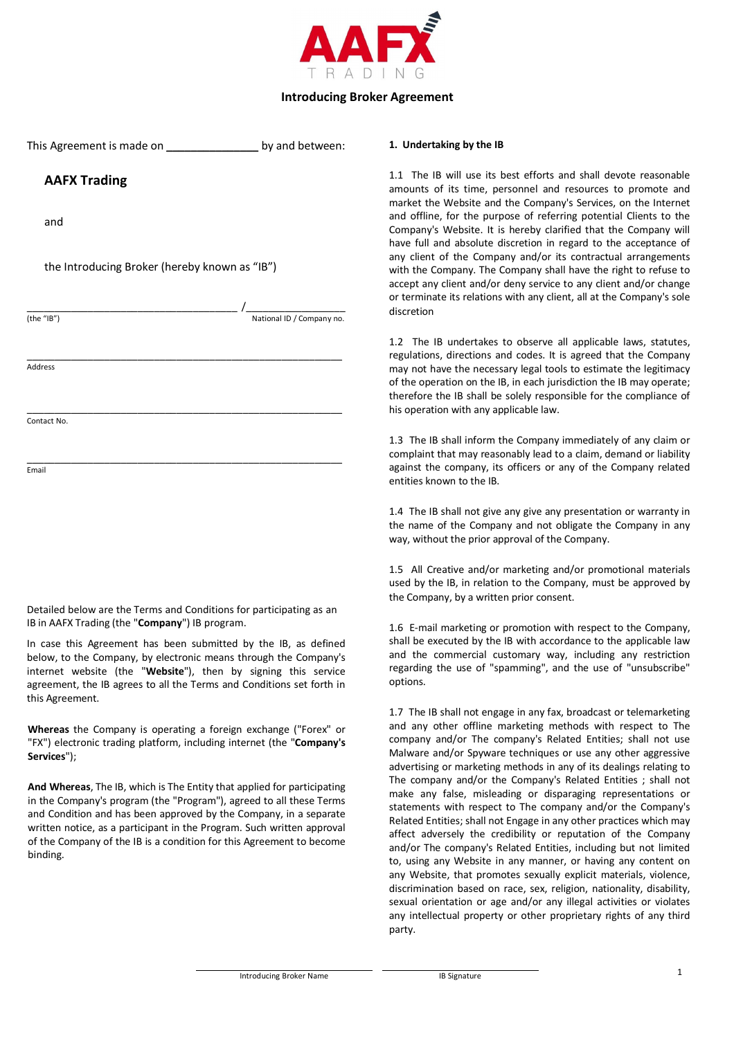

| This Agreement is made on ____________________ by and between: |                           |
|----------------------------------------------------------------|---------------------------|
| <b>AAFX Trading</b>                                            |                           |
| and                                                            |                           |
| the Introducing Broker (hereby known as "IB")                  |                           |
|                                                                | $\sqrt{2}$                |
| (the "IB")                                                     | National ID / Company no. |
|                                                                |                           |
| Address                                                        |                           |
|                                                                |                           |
| Contact No.                                                    |                           |
|                                                                |                           |
| Email                                                          |                           |
|                                                                |                           |
|                                                                |                           |
|                                                                |                           |
|                                                                |                           |
|                                                                |                           |

Detailed below are the Terms and Conditions for participating as an IB in AAFX Trading (the "**Company**") IB program.

In case this Agreement has been submitted by the IB, as defined below, to the Company, by electronic means through the Company's internet website (the "**Website**"), then by signing this service agreement, the IB agrees to all the Terms and Conditions set forth in this Agreement.

**Whereas** the Company is operating a foreign exchange ("Forex" or "FX") electronic trading platform, including internet (the "**Company's Services**");

**And Whereas**, The IB, which is The Entity that applied for participating in the Company's program (the "Program"), agreed to all these Terms and Condition and has been approved by the Company, in a separate written notice, as a participant in the Program. Such written approval of the Company of the IB is a condition for this Agreement to become binding.

#### **1. Undertaking by the IB**

1.1 The IB will use its best efforts and shall devote reasonable amounts of its time, personnel and resources to promote and market the Website and the Company's Services, on the Internet and offline, for the purpose of referring potential Clients to the Company's Website. It is hereby clarified that the Company will have full and absolute discretion in regard to the acceptance of any client of the Company and/or its contractual arrangements with the Company. The Company shall have the right to refuse to accept any client and/or deny service to any client and/or change or terminate its relations with any client, all at the Company's sole discretion

1.2 The IB undertakes to observe all applicable laws, statutes, regulations, directions and codes. It is agreed that the Company may not have the necessary legal tools to estimate the legitimacy of the operation on the IB, in each jurisdiction the IB may operate; therefore the IB shall be solely responsible for the compliance of his operation with any applicable law.

1.3 The IB shall inform the Company immediately of any claim or complaint that may reasonably lead to a claim, demand or liability against the company, its officers or any of the Company related entities known to the IB.

1.4 The IB shall not give any give any presentation or warranty in the name of the Company and not obligate the Company in any way, without the prior approval of the Company.

1.5 All Creative and/or marketing and/or promotional materials used by the IB, in relation to the Company, must be approved by the Company, by a written prior consent.

1.6 E-mail marketing or promotion with respect to the Company, shall be executed by the IB with accordance to the applicable law and the commercial customary way, including any restriction regarding the use of "spamming", and the use of "unsubscribe" options.

1.7 The IB shall not engage in any fax, broadcast or telemarketing and any other offline marketing methods with respect to The company and/or The company's Related Entities; shall not use Malware and/or Spyware techniques or use any other aggressive advertising or marketing methods in any of its dealings relating to The company and/or the Company's Related Entities ; shall not make any false, misleading or disparaging representations or statements with respect to The company and/or the Company's Related Entities; shall not Engage in any other practices which may affect adversely the credibility or reputation of the Company and/or The company's Related Entities, including but not limited to, using any Website in any manner, or having any content on any Website, that promotes sexually explicit materials, violence, discrimination based on race, sex, religion, nationality, disability, sexual orientation or age and/or any illegal activities or violates any intellectual property or other proprietary rights of any third party.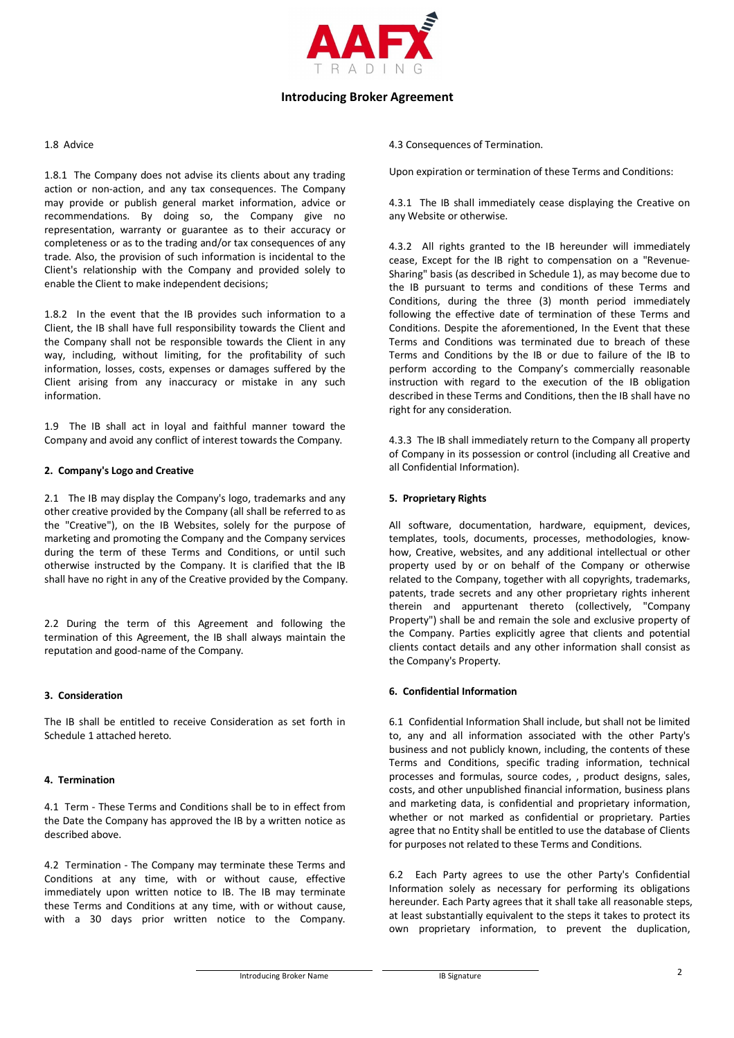

#### 1.8 Advice

1.8.1 The Company does not advise its clients about any trading action or non-action, and any tax consequences. The Company may provide or publish general market information, advice or recommendations. By doing so, the Company give no representation, warranty or guarantee as to their accuracy or completeness or as to the trading and/or tax consequences of any trade. Also, the provision of such information is incidental to the Client's relationship with the Company and provided solely to enable the Client to make independent decisions;

1.8.2 In the event that the IB provides such information to a Client, the IB shall have full responsibility towards the Client and the Company shall not be responsible towards the Client in any way, including, without limiting, for the profitability of such information, losses, costs, expenses or damages suffered by the Client arising from any inaccuracy or mistake in any such information.

1.9 The IB shall act in loyal and faithful manner toward the Company and avoid any conflict of interest towards the Company.

### **2. Company's Logo and Creative**

2.1 The IB may display the Company's logo, trademarks and any other creative provided by the Company (all shall be referred to as the "Creative"), on the IB Websites, solely for the purpose of marketing and promoting the Company and the Company services during the term of these Terms and Conditions, or until such otherwise instructed by the Company. It is clarified that the IB shall have no right in any of the Creative provided by the Company.

2.2 During the term of this Agreement and following the termination of this Agreement, the IB shall always maintain the reputation and good-name of the Company.

### **3. Consideration**

The IB shall be entitled to receive Consideration as set forth in Schedule 1 attached hereto.

### **4. Termination**

4.1 Term - These Terms and Conditions shall be to in effect from the Date the Company has approved the IB by a written notice as described above.

4.2 Termination - The Company may terminate these Terms and Conditions at any time, with or without cause, effective immediately upon written notice to IB. The IB may terminate these Terms and Conditions at any time, with or without cause, with a 30 days prior written notice to the Company. 4.3 Consequences of Termination.

Upon expiration or termination of these Terms and Conditions:

4.3.1 The IB shall immediately cease displaying the Creative on any Website or otherwise.

4.3.2 All rights granted to the IB hereunder will immediately cease, Except for the IB right to compensation on a "Revenue-Sharing" basis (as described in Schedule 1), as may become due to the IB pursuant to terms and conditions of these Terms and Conditions, during the three (3) month period immediately following the effective date of termination of these Terms and Conditions. Despite the aforementioned, In the Event that these Terms and Conditions was terminated due to breach of these Terms and Conditions by the IB or due to failure of the IB to perform according to the Company's commercially reasonable instruction with regard to the execution of the IB obligation described in these Terms and Conditions, then the IB shall have no right for any consideration.

4.3.3 The IB shall immediately return to the Company all property of Company in its possession or control (including all Creative and all Confidential Information).

### **5. Proprietary Rights**

All software, documentation, hardware, equipment, devices, templates, tools, documents, processes, methodologies, knowhow, Creative, websites, and any additional intellectual or other property used by or on behalf of the Company or otherwise related to the Company, together with all copyrights, trademarks, patents, trade secrets and any other proprietary rights inherent therein and appurtenant thereto (collectively, "Company Property") shall be and remain the sole and exclusive property of the Company. Parties explicitly agree that clients and potential clients contact details and any other information shall consist as the Company's Property.

#### **6. Confidential Information**

6.1 Confidential Information Shall include, but shall not be limited to, any and all information associated with the other Party's business and not publicly known, including, the contents of these Terms and Conditions, specific trading information, technical processes and formulas, source codes, , product designs, sales, costs, and other unpublished financial information, business plans and marketing data, is confidential and proprietary information, whether or not marked as confidential or proprietary. Parties agree that no Entity shall be entitled to use the database of Clients for purposes not related to these Terms and Conditions.

6.2 Each Party agrees to use the other Party's Confidential Information solely as necessary for performing its obligations hereunder. Each Party agrees that it shall take all reasonable steps, at least substantially equivalent to the steps it takes to protect its own proprietary information, to prevent the duplication,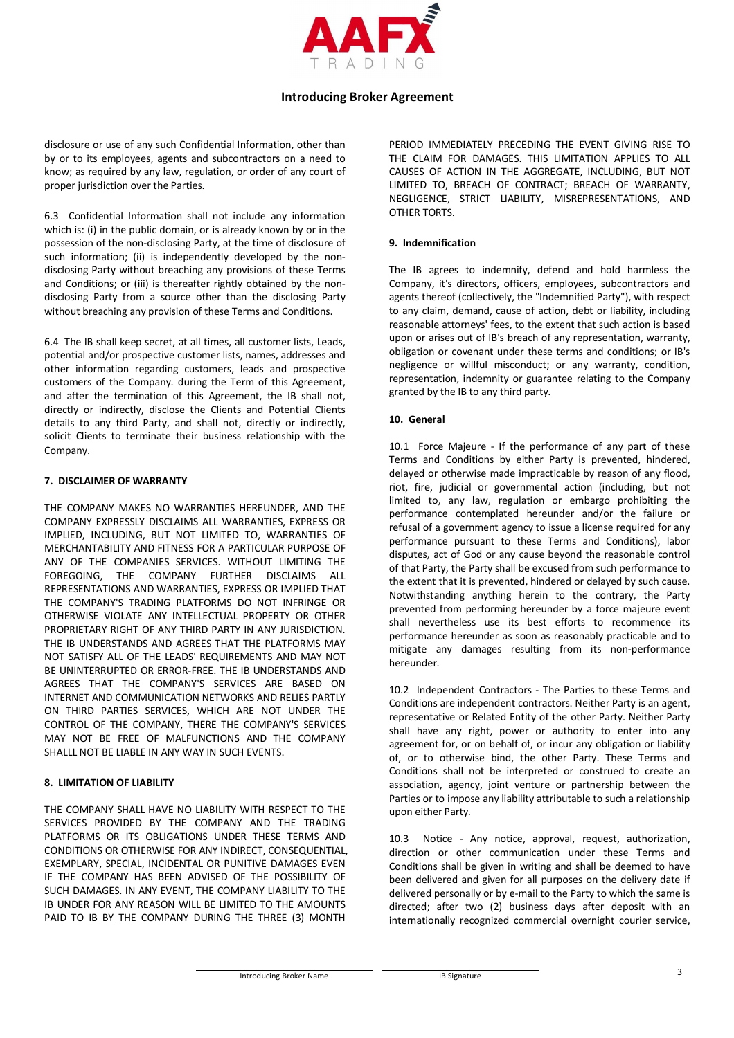

disclosure or use of any such Confidential Information, other than by or to its employees, agents and subcontractors on a need to know; as required by any law, regulation, or order of any court of proper jurisdiction over the Parties.

6.3 Confidential Information shall not include any information which is: (i) in the public domain, or is already known by or in the possession of the non-disclosing Party, at the time of disclosure of such information; (ii) is independently developed by the nondisclosing Party without breaching any provisions of these Terms and Conditions; or (iii) is thereafter rightly obtained by the nondisclosing Party from a source other than the disclosing Party without breaching any provision of these Terms and Conditions.

6.4 The IB shall keep secret, at all times, all customer lists, Leads, potential and/or prospective customer lists, names, addresses and other information regarding customers, leads and prospective customers of the Company. during the Term of this Agreement, and after the termination of this Agreement, the IB shall not, directly or indirectly, disclose the Clients and Potential Clients details to any third Party, and shall not, directly or indirectly, solicit Clients to terminate their business relationship with the Company.

### **7. DISCLAIMER OF WARRANTY**

THE COMPANY MAKES NO WARRANTIES HEREUNDER, AND THE COMPANY EXPRESSLY DISCLAIMS ALL WARRANTIES, EXPRESS OR IMPLIED, INCLUDING, BUT NOT LIMITED TO, WARRANTIES OF MERCHANTABILITY AND FITNESS FOR A PARTICULAR PURPOSE OF ANY OF THE COMPANIES SERVICES. WITHOUT LIMITING THE FOREGOING, THE COMPANY FURTHER DISCLAIMS ALL REPRESENTATIONS AND WARRANTIES, EXPRESS OR IMPLIED THAT THE COMPANY'S TRADING PLATFORMS DO NOT INFRINGE OR OTHERWISE VIOLATE ANY INTELLECTUAL PROPERTY OR OTHER PROPRIETARY RIGHT OF ANY THIRD PARTY IN ANY JURISDICTION. THE IB UNDERSTANDS AND AGREES THAT THE PLATFORMS MAY NOT SATISFY ALL OF THE LEADS' REQUIREMENTS AND MAY NOT BE UNINTERRUPTED OR ERROR-FREE. THE IB UNDERSTANDS AND AGREES THAT THE COMPANY'S SERVICES ARE BASED ON INTERNET AND COMMUNICATION NETWORKS AND RELIES PARTLY ON THIRD PARTIES SERVICES, WHICH ARE NOT UNDER THE CONTROL OF THE COMPANY, THERE THE COMPANY'S SERVICES MAY NOT BE FREE OF MALFUNCTIONS AND THE COMPANY SHALLL NOT BE LIABLE IN ANY WAY IN SUCH EVENTS.

### **8. LIMITATION OF LIABILITY**

THE COMPANY SHALL HAVE NO LIABILITY WITH RESPECT TO THE SERVICES PROVIDED BY THE COMPANY AND THE TRADING PLATFORMS OR ITS OBLIGATIONS UNDER THESE TERMS AND CONDITIONS OR OTHERWISE FOR ANY INDIRECT, CONSEQUENTIAL, EXEMPLARY, SPECIAL, INCIDENTAL OR PUNITIVE DAMAGES EVEN IF THE COMPANY HAS BEEN ADVISED OF THE POSSIBILITY OF SUCH DAMAGES. IN ANY EVENT, THE COMPANY LIABILITY TO THE IB UNDER FOR ANY REASON WILL BE LIMITED TO THE AMOUNTS PAID TO IB BY THE COMPANY DURING THE THREE (3) MONTH

PERIOD IMMEDIATELY PRECEDING THE EVENT GIVING RISE TO THE CLAIM FOR DAMAGES. THIS LIMITATION APPLIES TO ALL CAUSES OF ACTION IN THE AGGREGATE, INCLUDING, BUT NOT LIMITED TO, BREACH OF CONTRACT; BREACH OF WARRANTY, NEGLIGENCE, STRICT LIABILITY, MISREPRESENTATIONS, AND OTHER TORTS.

### **9. Indemnification**

The IB agrees to indemnify, defend and hold harmless the Company, it's directors, officers, employees, subcontractors and agents thereof (collectively, the "Indemnified Party"), with respect to any claim, demand, cause of action, debt or liability, including reasonable attorneys' fees, to the extent that such action is based upon or arises out of IB's breach of any representation, warranty, obligation or covenant under these terms and conditions; or IB's negligence or willful misconduct; or any warranty, condition, representation, indemnity or guarantee relating to the Company granted by the IB to any third party.

### **10. General**

10.1 Force Majeure - If the performance of any part of these Terms and Conditions by either Party is prevented, hindered, delayed or otherwise made impracticable by reason of any flood, riot, fire, judicial or governmental action (including, but not limited to, any law, regulation or embargo prohibiting the performance contemplated hereunder and/or the failure or refusal of a government agency to issue a license required for any performance pursuant to these Terms and Conditions), labor disputes, act of God or any cause beyond the reasonable control of that Party, the Party shall be excused from such performance to the extent that it is prevented, hindered or delayed by such cause. Notwithstanding anything herein to the contrary, the Party prevented from performing hereunder by a force majeure event shall nevertheless use its best efforts to recommence its performance hereunder as soon as reasonably practicable and to mitigate any damages resulting from its non-performance hereunder.

10.2 Independent Contractors - The Parties to these Terms and Conditions are independent contractors. Neither Party is an agent, representative or Related Entity of the other Party. Neither Party shall have any right, power or authority to enter into any agreement for, or on behalf of, or incur any obligation or liability of, or to otherwise bind, the other Party. These Terms and Conditions shall not be interpreted or construed to create an association, agency, joint venture or partnership between the Parties or to impose any liability attributable to such a relationship upon either Party.

10.3 Notice - Any notice, approval, request, authorization, direction or other communication under these Terms and Conditions shall be given in writing and shall be deemed to have been delivered and given for all purposes on the delivery date if delivered personally or by e-mail to the Party to which the same is directed; after two (2) business days after deposit with an internationally recognized commercial overnight courier service,